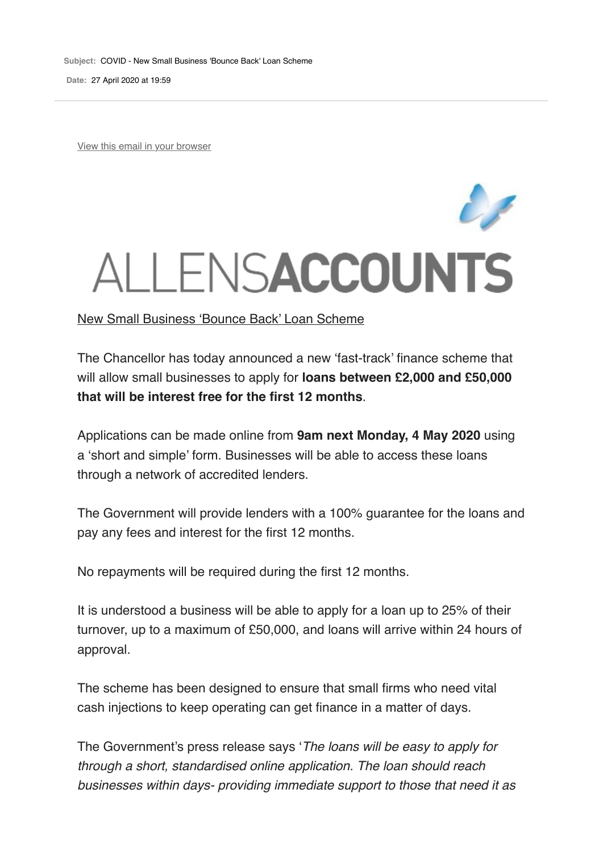**Date:** 27 April 2020 at 19:59

View this email in your browser

## ALLENSACCOUNTS

The Chancellor has today announced a new 'fast-track' finance scheme that will allow small businesses to apply for **loans between £2,000 and £50,000 that will be interest free for the first 12 months**.

Applications can be made online from **9am next Monday, 4 May 2020** using a 'short and simple' form. Businesses will be able to access these loans through a network of accredited lenders.

The Government will provide lenders with a 100% guarantee for the loans and pay any fees and interest for the first 12 months.

No repayments will be required during the first 12 months.

It is understood a business will be able to apply for a loan up to 25% of their turnover, up to a maximum of £50,000, and loans will arrive within 24 hours of approval.

The scheme has been designed to ensure that small firms who need vital cash injections to keep operating can get finance in a matter of days.

The Government's press release says '*The loans will be easy to apply for through a short, standardised online application. The loan should reach businesses within days- providing immediate support to those that need it as*